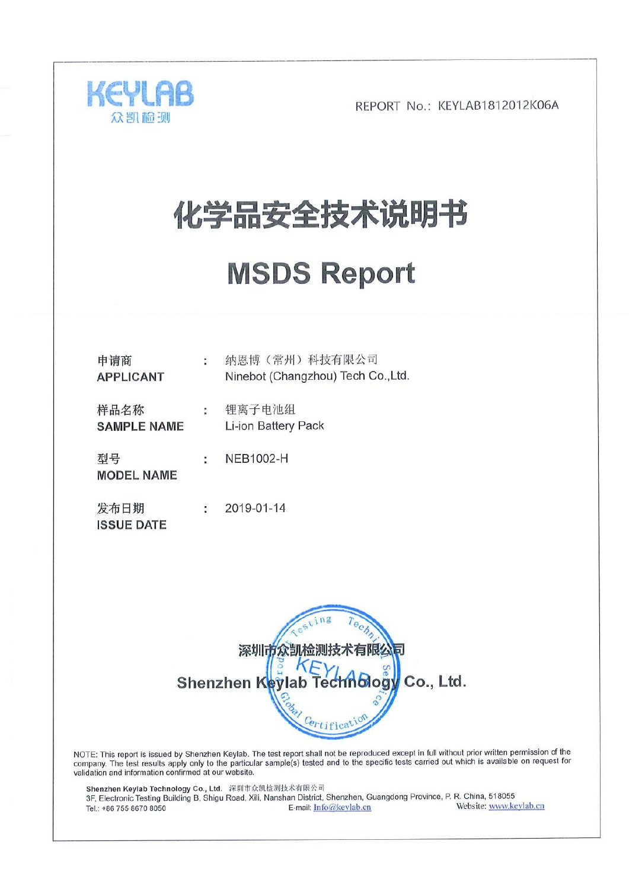

# 化学品安全技术说明书

# **MSDS Report**

| 申请商<br><b>APPLICANT</b>    |   | 纳恩博 (常州) 科技有限公司<br>Ninebot (Changzhou) Tech Co., Ltd. |
|----------------------------|---|-------------------------------------------------------|
| 样品名称<br><b>SAMPLE NAME</b> | ÷ | 锂离子电池组<br>Li-ion Battery Pack                         |
| 型号<br><b>MODEL NAME</b>    | ÷ | <b>NEB1002-H</b>                                      |
| 发布日期<br><b>ISSUE DATE</b>  |   | 2019-01-14                                            |



NOTE: This report is issued by Shenzhen Keylab. The test report shall not be reproduced except in full without prior written permission of the company. The test results apply only to the particular sample(s) tested and to validation and information confirmed at our website.

Shenzhen Keylab Technology Co., Ltd. 深圳市众凯检测技术有限公司 3F, Electronic Testing Building B, Shigu Road, Xili, Nanshan District, Shenzhen, Guangdong Province, P. R. China, 518055 Website: www.keylab.cn E-mail: Info@keylab.cn Tel.: +86 755 8670 8050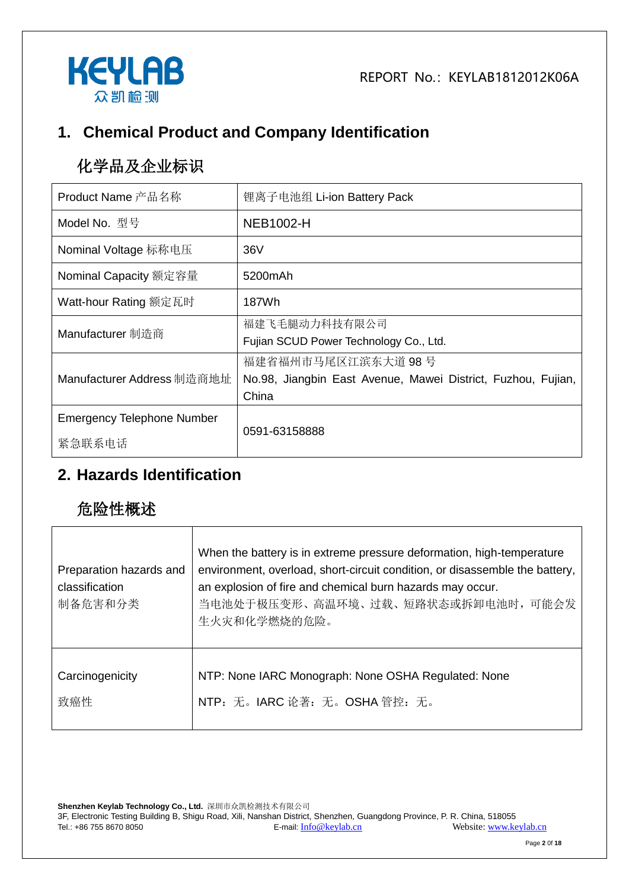



# **1. Chemical Product and Company Identification**

# 化学品及企业标识

| Product Name 产品名称                           | 锂离子电池组 Li-ion Battery Pack                                                                  |
|---------------------------------------------|---------------------------------------------------------------------------------------------|
| Model No. 型号                                | <b>NEB1002-H</b>                                                                            |
| Nominal Voltage 标称电压                        | 36V                                                                                         |
| Nominal Capacity 额定容量                       | 5200mAh                                                                                     |
| Watt-hour Rating 额定瓦时                       | 187Wh                                                                                       |
| Manufacturer 制造商                            | 福建飞毛腿动力科技有限公司<br>Fujian SCUD Power Technology Co., Ltd.                                     |
| Manufacturer Address 制造商地址                  | 福建省福州市马尾区江滨东大道 98号<br>No.98, Jiangbin East Avenue, Mawei District, Fuzhou, Fujian,<br>China |
| <b>Emergency Telephone Number</b><br>紧急联系电话 | 0591-63158888                                                                               |

### **2. Hazards Identification**

# 危险性概述

| Preparation hazards and<br>classification<br>制备危害和分类 | When the battery is in extreme pressure deformation, high-temperature<br>environment, overload, short-circuit condition, or disassemble the battery,<br>an explosion of fire and chemical burn hazards may occur.<br>当电池处于极压变形、高温环境、过载、短路状态或拆卸电池时, 可能会发<br>生火灾和化学燃烧的危险。 |
|------------------------------------------------------|-------------------------------------------------------------------------------------------------------------------------------------------------------------------------------------------------------------------------------------------------------------------------|
| Carcinogenicity                                      | NTP: None IARC Monograph: None OSHA Regulated: None                                                                                                                                                                                                                     |
| 致癌性                                                  | NTP: 无。IARC 论著: 无。OSHA 管控: 无。                                                                                                                                                                                                                                           |

**Shenzhen Keylab Technology Co., Ltd.** 深圳市众凯检测技术有限公司 3F, Electronic Testing Building B, Shigu Road, Xili, Nanshan District, Shenzhen, Guangdong Province, P. R. China, 518055 Tel.: +86 755 8670 8050 E-mail: [Info@keylab.cn](mailto:Info@keylab.cn) Website[: www.keylab.cn](http://www.keylab.cn/)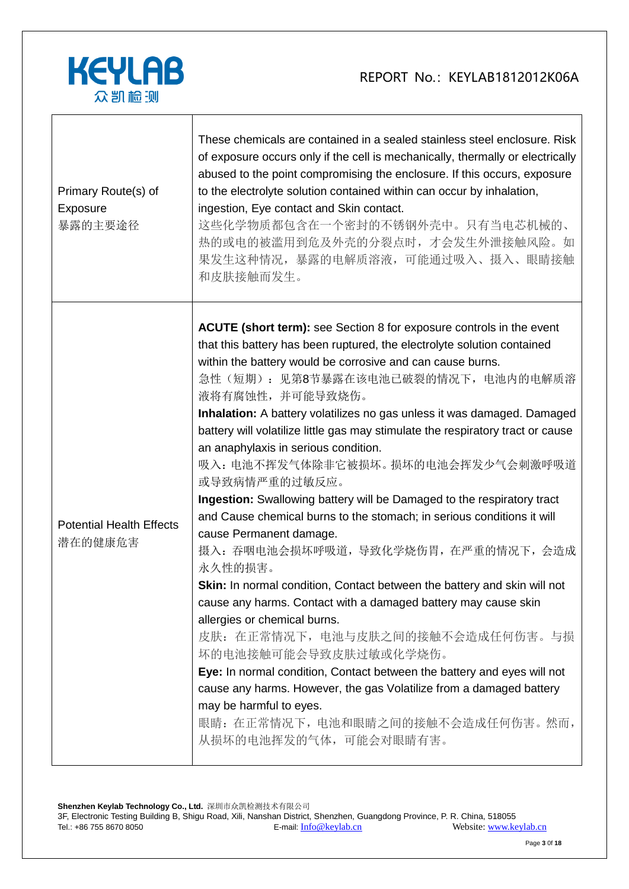

| Primary Route(s) of<br>Exposure<br>暴露的主要途径 | These chemicals are contained in a sealed stainless steel enclosure. Risk<br>of exposure occurs only if the cell is mechanically, thermally or electrically<br>abused to the point compromising the enclosure. If this occurs, exposure<br>to the electrolyte solution contained within can occur by inhalation,<br>ingestion, Eye contact and Skin contact.<br>这些化学物质都包含在一个密封的不锈钢外壳中。只有当电芯机械的、<br>热的或电的被滥用到危及外壳的分裂点时,才会发生外泄接触风险。如<br>果发生这种情况,暴露的电解质溶液,可能通过吸入、摄入、眼睛接触<br>和皮肤接触而发生。                                                                                                                                                                                                                                                                                                                                                                                                                                                                                                                                                                                                                                                                                                                                                                                      |
|--------------------------------------------|-------------------------------------------------------------------------------------------------------------------------------------------------------------------------------------------------------------------------------------------------------------------------------------------------------------------------------------------------------------------------------------------------------------------------------------------------------------------------------------------------------------------------------------------------------------------------------------------------------------------------------------------------------------------------------------------------------------------------------------------------------------------------------------------------------------------------------------------------------------------------------------------------------------------------------------------------------------------------------------------------------------------------------------------------------------------------------------------------------------------------------------------------------------------------------------------------------------------------------------------------------------------------|
| <b>Potential Health Effects</b><br>潜在的健康危害 | <b>ACUTE (short term):</b> see Section 8 for exposure controls in the event<br>that this battery has been ruptured, the electrolyte solution contained<br>within the battery would be corrosive and can cause burns.<br>急性(短期): 见第8节暴露在该电池已破裂的情况下, 电池内的电解质溶<br>液将有腐蚀性,并可能导致烧伤。<br>Inhalation: A battery volatilizes no gas unless it was damaged. Damaged<br>battery will volatilize little gas may stimulate the respiratory tract or cause<br>an anaphylaxis in serious condition.<br>吸入: 电池不挥发气体除非它被损坏。损坏的电池会挥发少气会刺激呼吸道<br>或导致病情严重的过敏反应。<br>Ingestion: Swallowing battery will be Damaged to the respiratory tract<br>and Cause chemical burns to the stomach; in serious conditions it will<br>cause Permanent damage.<br>摄入: 吞咽电池会损坏呼吸道, 导致化学烧伤胃, 在严重的情况下, 会造成<br>永久性的损害。<br>Skin: In normal condition, Contact between the battery and skin will not<br>cause any harms. Contact with a damaged battery may cause skin<br>allergies or chemical burns.<br>皮肤: 在正常情况下, 电池与皮肤之间的接触不会造成任何伤害。与损<br>坏的电池接触可能会导致皮肤过敏或化学烧伤。<br>Eye: In normal condition, Contact between the battery and eyes will not<br>cause any harms. However, the gas Volatilize from a damaged battery<br>may be harmful to eyes.<br>眼睛: 在正常情况下, 电池和眼睛之间的接触不会造成任何伤害。然而,<br>从损坏的电池挥发的气体, 可能会对眼睛有害。 |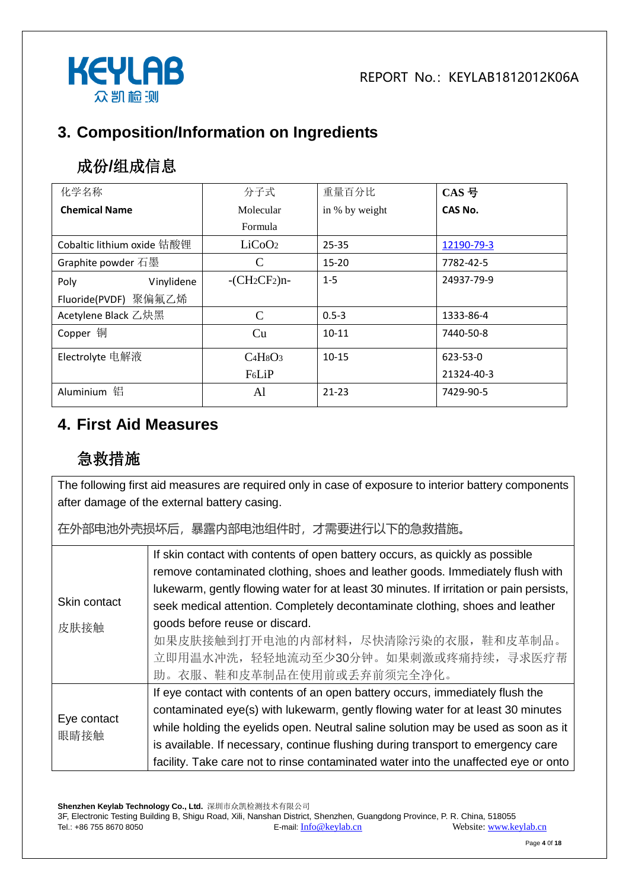

# **3. Composition/Information on Ingredients**

# 成份**/**组成信息

| 化学名称                       | 分子式                | 重量百分比          | CAS 号          |
|----------------------------|--------------------|----------------|----------------|
| <b>Chemical Name</b>       | Molecular          | in % by weight | CAS No.        |
|                            | Formula            |                |                |
| Cobaltic lithium oxide 钴酸锂 | LiCoO <sub>2</sub> | $25 - 35$      | 12190-79-3     |
| Graphite powder 石墨         | C                  | $15 - 20$      | 7782-42-5      |
| Vinylidene<br>Poly         | $-CH_2CF_2$ )n-    | $1 - 5$        | 24937-79-9     |
| Fluoride(PVDF) 聚偏氟乙烯       |                    |                |                |
| Acetylene Black 乙炔黑        | C                  | $0.5 - 3$      | 1333-86-4      |
| Copper 铜                   | Cu                 | $10 - 11$      | 7440-50-8      |
| Electrolyte 电解液            | $C4H8O3$           | $10 - 15$      | $623 - 53 - 0$ |
|                            | F <sub>6</sub> LiP |                | 21324-40-3     |
| 铝<br>Aluminium             | Al                 | $21 - 23$      | 7429-90-5      |

#### **4. First Aid Measures**

# 急救措施

The following first aid measures are required only in case of exposure to interior battery components after damage of the external battery casing.

在外部电池外壳损坏后,暴露内部电池组件时,才需要进行以下的急救措施。

|                     | If skin contact with contents of open battery occurs, as quickly as possible            |
|---------------------|-----------------------------------------------------------------------------------------|
|                     | remove contaminated clothing, shoes and leather goods. Immediately flush with           |
|                     | lukewarm, gently flowing water for at least 30 minutes. If irritation or pain persists, |
| Skin contact        | seek medical attention. Completely decontaminate clothing, shoes and leather            |
| 皮肤接触                | goods before reuse or discard.                                                          |
|                     | 如果皮肤接触到打开电池的内部材料,尽快清除污染的衣服,鞋和皮革制品。                                                      |
|                     | 立即用温水冲洗,轻轻地流动至少30分钟。如果刺激或疼痛持续,寻求医疗帮                                                     |
|                     | 助。衣服、鞋和皮革制品在使用前或丢弃前须完全净化。                                                               |
|                     | If eye contact with contents of an open battery occurs, immediately flush the           |
| Eye contact<br>眼睛接触 | contaminated eye(s) with lukewarm, gently flowing water for at least 30 minutes         |
|                     | while holding the eyelids open. Neutral saline solution may be used as soon as it       |
|                     | is available. If necessary, continue flushing during transport to emergency care        |
|                     | facility. Take care not to rinse contaminated water into the unaffected eye or onto     |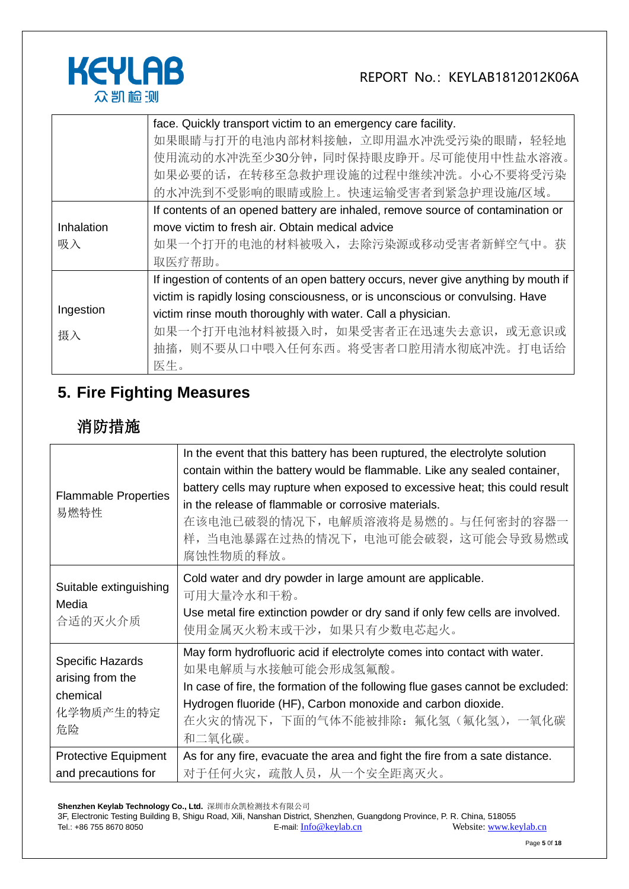

|            | face. Quickly transport victim to an emergency care facility.                       |
|------------|-------------------------------------------------------------------------------------|
|            | 如果眼睛与打开的电池内部材料接触, 立即用温水冲洗受污染的眼睛, 轻轻地                                                |
|            | 使用流动的水冲洗至少30分钟,同时保持眼皮睁开。尽可能使用中性盐水溶液。                                                |
|            | 如果必要的话, 在转移至急救护理设施的过程中继续冲洗。小心不要将受污染                                                 |
|            | 的水冲洗到不受影响的眼睛或脸上。快速运输受害者到紧急护理设施/区域。                                                  |
|            | If contents of an opened battery are inhaled, remove source of contamination or     |
| Inhalation | move victim to fresh air. Obtain medical advice                                     |
| 吸入         | 如果一个打开的电池的材料被吸入,去除污染源或移动受害者新鲜空气中。获                                                  |
|            | 取医疗帮助。                                                                              |
|            | If ingestion of contents of an open battery occurs, never give anything by mouth if |
|            | victim is rapidly losing consciousness, or is unconscious or convulsing. Have       |
| Ingestion  | victim rinse mouth thoroughly with water. Call a physician.                         |
| 摄入         | 如果一个打开电池材料被摄入时,如果受害者正在迅速失去意识,或无意识或                                                  |
|            | 抽搐,则不要从口中喂入任何东西。将受害者口腔用清水彻底冲洗。打电话给                                                  |
|            | 医生。                                                                                 |

# **5. Fire Fighting Measures**

# 消防措施

| <b>Flammable Properties</b><br>易燃特性                                        | In the event that this battery has been ruptured, the electrolyte solution<br>contain within the battery would be flammable. Like any sealed container,<br>battery cells may rupture when exposed to excessive heat; this could result<br>in the release of flammable or corrosive materials.<br>在该电池已破裂的情况下,电解质溶液将是易燃的。与任何密封的容器一<br>样, 当电池暴露在过热的情况下, 电池可能会破裂, 这可能会导致易燃或<br>腐蚀性物质的释放。 |
|----------------------------------------------------------------------------|---------------------------------------------------------------------------------------------------------------------------------------------------------------------------------------------------------------------------------------------------------------------------------------------------------------------------------------------------------------------------------------|
| Suitable extinguishing<br>Media<br>合适的灭火介质                                 | Cold water and dry powder in large amount are applicable.<br>可用大量冷水和干粉。<br>Use metal fire extinction powder or dry sand if only few cells are involved.<br>使用金属灭火粉末或干沙,如果只有少数电芯起火。                                                                                                                                                                                                    |
| <b>Specific Hazards</b><br>arising from the<br>chemical<br>化学物质产生的特定<br>危险 | May form hydrofluoric acid if electrolyte comes into contact with water.<br>如果电解质与水接触可能会形成氢氟酸。<br>In case of fire, the formation of the following flue gases cannot be excluded:<br>Hydrogen fluoride (HF), Carbon monoxide and carbon dioxide.<br>在火灾的情况下,下面的气体不能被排除: 氟化氢 (氟化氢),一氧化碳<br>和二氧化碳。                                                                                       |
| <b>Protective Equipment</b><br>and precautions for                         | As for any fire, evacuate the area and fight the fire from a sate distance.<br>对于任何火灾, 疏散人员, 从一个安全距离灭火。                                                                                                                                                                                                                                                                               |

**Shenzhen Keylab Technology Co., Ltd.** 深圳市众凯检测技术有限公司

3F, Electronic Testing Building B, Shigu Road, Xili, Nanshan District, Shenzhen, Guangdong Province, P. R. China, 518055 Tel.: +86 755 8670 8050 **E-mail:** [Info@keylab.cn](mailto:Info@keylab.cn) Website[: www.keylab.cn](http://www.keylab.cn/)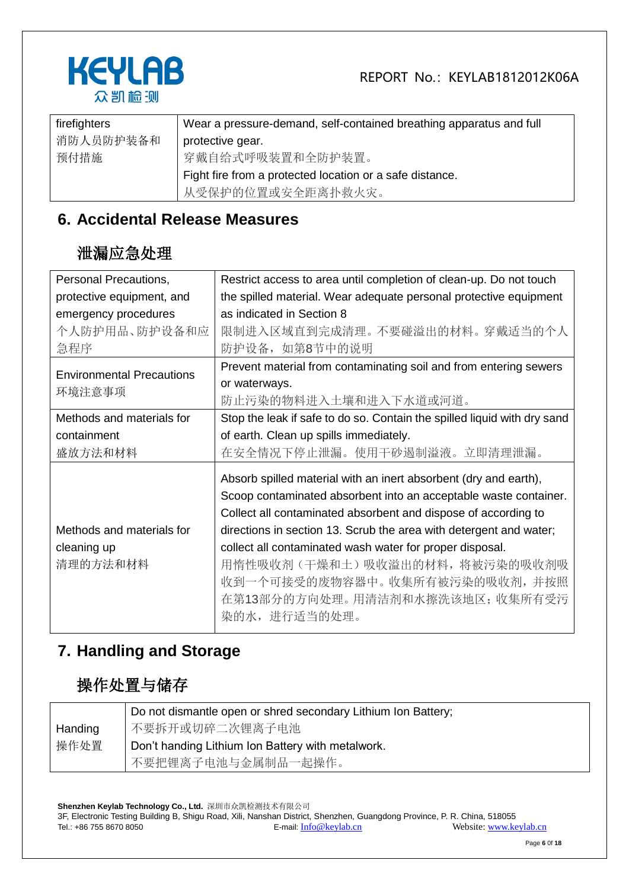



| firefighters | Wear a pressure-demand, self-contained breathing apparatus and full |
|--------------|---------------------------------------------------------------------|
| 消防人员防护装备和    | protective gear.                                                    |
| 预付措施         | 穿戴自给式呼吸装置和全防护装置。                                                    |
|              | Fight fire from a protected location or a safe distance.            |
|              | 从受保护的位置或安全距离扑救火灾。                                                   |

### **6. Accidental Release Measures**

#### 泄漏应急处理

| Personal Precautions,                      | Restrict access to area until completion of clean-up. Do not touch       |
|--------------------------------------------|--------------------------------------------------------------------------|
| protective equipment, and                  | the spilled material. Wear adequate personal protective equipment        |
| emergency procedures                       | as indicated in Section 8                                                |
| 个人防护用品、防护设备和应                              | 限制进入区域直到完成清理。不要碰溢出的材料。穿戴适当的个人                                            |
| 急程序                                        | 防护设备, 如第8节中的说明                                                           |
| <b>Environmental Precautions</b><br>环境注意事项 | Prevent material from contaminating soil and from entering sewers        |
|                                            | or waterways.                                                            |
|                                            | 防止污染的物料进入土壤和进入下水道或河道。                                                    |
| Methods and materials for                  | Stop the leak if safe to do so. Contain the spilled liquid with dry sand |
| containment                                | of earth. Clean up spills immediately.                                   |
| 盛放方法和材料                                    | 在安全情况下停止泄漏。使用干砂遏制溢液。立即清理泄漏。                                              |
|                                            | Absorb spilled material with an inert absorbent (dry and earth),         |
|                                            | Scoop contaminated absorbent into an acceptable waste container.         |
|                                            | Collect all contaminated absorbent and dispose of according to           |
| Methods and materials for                  | directions in section 13. Scrub the area with detergent and water;       |
| cleaning up                                | collect all contaminated wash water for proper disposal.                 |
| 清理的方法和材料                                   | 用惰性吸收剂 (干燥和土) 吸收溢出的材料,将被污染的吸收剂吸                                          |
|                                            | 收到一个可接受的废物容器中。收集所有被污染的吸收剂, 并按照                                           |
|                                            | 在第13部分的方向处理。用清洁剂和水擦洗该地区; 收集所有受污                                          |
|                                            | 染的水, 进行适当的处理。                                                            |
|                                            |                                                                          |

### **7. Handling and Storage**

# 操作处置与储存

|         | Do not dismantle open or shred secondary Lithium Ion Battery; |
|---------|---------------------------------------------------------------|
| Handing | 不要拆开或切碎二次锂离子电池                                                |
| 操作处置    | Don't handing Lithium Ion Battery with metalwork.             |
|         | 不要把锂离子电池与金属制品一起操作。                                            |

**Shenzhen Keylab Technology Co., Ltd.** 深圳市众凯检测技术有限公司 3F, Electronic Testing Building B, Shigu Road, Xili, Nanshan District, Shenzhen, Guangdong Province, P. R. China, 518055 Tel.: +86 755 8670 8050 E-mail: [Info@keylab.cn](mailto:Info@keylab.cn) Website[: www.keylab.cn](http://www.keylab.cn/)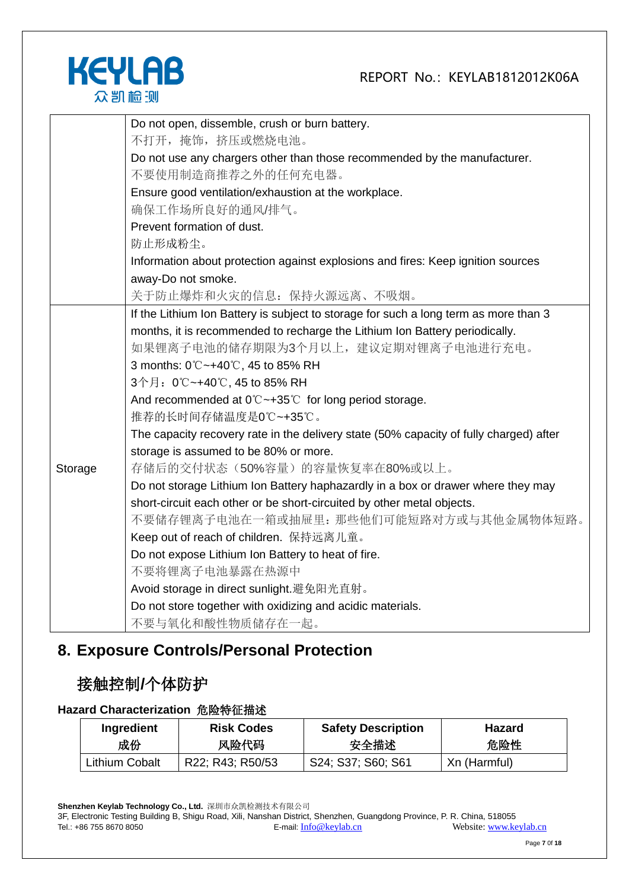

|         | Do not open, dissemble, crush or burn battery.                                               |
|---------|----------------------------------------------------------------------------------------------|
|         | 不打开, 掩饰, 挤压或燃烧电池。                                                                            |
|         | Do not use any chargers other than those recommended by the manufacturer.                    |
|         | 不要使用制造商推荐之外的任何充电器。                                                                           |
|         | Ensure good ventilation/exhaustion at the workplace.                                         |
|         | 确保工作场所良好的通风/排气。                                                                              |
|         | Prevent formation of dust.                                                                   |
|         | 防止形成粉尘。                                                                                      |
|         | Information about protection against explosions and fires: Keep ignition sources             |
|         | away-Do not smoke.                                                                           |
|         | 关于防止爆炸和火灾的信息: 保持火源远离、不吸烟。                                                                    |
|         | If the Lithium Ion Battery is subject to storage for such a long term as more than 3         |
|         | months, it is recommended to recharge the Lithium Ion Battery periodically.                  |
|         | 如果锂离子电池的储存期限为3个月以上,建议定期对锂离子电池进行充电。                                                           |
|         | 3 months: 0℃~+40℃, 45 to 85% RH                                                              |
|         | 3个月: 0℃~+40℃, 45 to 85% RH                                                                   |
|         | And recommended at $0^\circ \text{C} \rightarrow 35^\circ \text{C}$ for long period storage. |
|         | 推荐的长时间存储温度是0℃~+35℃。                                                                          |
|         | The capacity recovery rate in the delivery state (50% capacity of fully charged) after       |
|         | storage is assumed to be 80% or more.                                                        |
| Storage | 存储后的交付状态(50%容量)的容量恢复率在80%或以上。                                                                |
|         | Do not storage Lithium Ion Battery haphazardly in a box or drawer where they may             |
|         | short-circuit each other or be short-circuited by other metal objects.                       |
|         | 不要储存锂离子电池在一箱或抽屉里: 那些他们可能短路对方或与其他金属物体短路。                                                      |
|         | Keep out of reach of children. 保持远离儿童。                                                       |
|         | Do not expose Lithium Ion Battery to heat of fire.                                           |
|         | 不要将锂离子电池暴露在热源中                                                                               |
|         | Avoid storage in direct sunlight.避免阳光直射。                                                     |
|         | Do not store together with oxidizing and acidic materials.                                   |
|         | 不要与氧化和酸性物质储存在一起。                                                                             |

# **8. Exposure Controls/Personal Protection**

### 接触控制**/**个体防护

#### **Hazard Characterization** 危险特征描述

| Ingredient     | <b>Risk Codes</b> | <b>Safety Description</b> | <b>Hazard</b> |
|----------------|-------------------|---------------------------|---------------|
| 成份             | 风险代码              | 安全描述                      | 危险性           |
| Lithium Cobalt | R22; R43; R50/53  | S24; S37; S60; S61        | Xn (Harmful)  |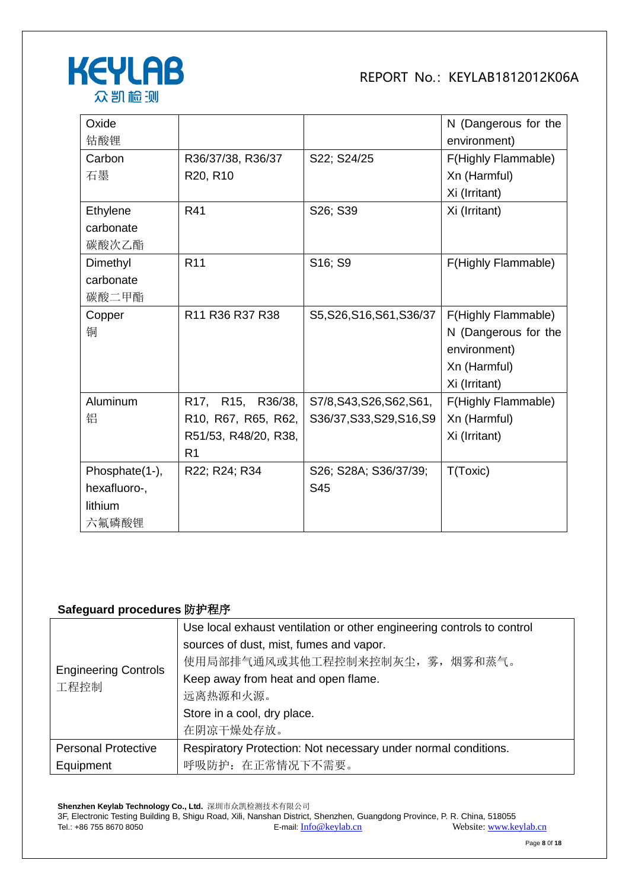

| Oxide          |                      |                           | N (Dangerous for the |
|----------------|----------------------|---------------------------|----------------------|
| 钴酸锂            |                      |                           | environment)         |
| Carbon         | R36/37/38, R36/37    | S22; S24/25               | F(Highly Flammable)  |
| 石墨             | R20, R10             |                           | Xn (Harmful)         |
|                |                      |                           | Xi (Irritant)        |
| Ethylene       | R41                  | S26; S39                  | Xi (Irritant)        |
| carbonate      |                      |                           |                      |
| 碳酸次乙酯          |                      |                           |                      |
| Dimethyl       | R <sub>11</sub>      | S16; S9                   | F(Highly Flammable)  |
| carbonate      |                      |                           |                      |
| 碳酸二甲酯          |                      |                           |                      |
| Copper         | R11 R36 R37 R38      | S5, S26, S16, S61, S36/37 | F(Highly Flammable)  |
| 铜              |                      |                           | N (Dangerous for the |
|                |                      |                           | environment)         |
|                |                      |                           | Xn (Harmful)         |
|                |                      |                           | Xi (Irritant)        |
| Aluminum       | R17, R15, R36/38,    | S7/8, S43, S26, S62, S61, | F(Highly Flammable)  |
| 铝              | R10, R67, R65, R62,  | S36/37, S33, S29, S16, S9 | Xn (Harmful)         |
|                | R51/53, R48/20, R38, |                           | Xi (Irritant)        |
|                | R <sub>1</sub>       |                           |                      |
| Phosphate(1-), | R22; R24; R34        | S26; S28A; S36/37/39;     | T(Toxic)             |
| hexafluoro-,   |                      | S45                       |                      |
| lithium        |                      |                           |                      |
| 六氟磷酸锂          |                      |                           |                      |

#### **Safeguard procedures** 防护程序

|                                     | Use local exhaust ventilation or other engineering controls to control |  |
|-------------------------------------|------------------------------------------------------------------------|--|
|                                     | sources of dust, mist, fumes and vapor.                                |  |
|                                     | 使用局部排气通风或其他工程控制来控制灰尘, 雾, 烟雾和蒸气。                                        |  |
| <b>Engineering Controls</b><br>工程控制 | Keep away from heat and open flame.                                    |  |
|                                     | 远离热源和火源。                                                               |  |
|                                     | Store in a cool, dry place.                                            |  |
|                                     | 在阴凉干燥处存放。                                                              |  |
| <b>Personal Protective</b>          | Respiratory Protection: Not necessary under normal conditions.         |  |
| Equipment                           | 呼吸防护: 在正常情况下不需要。                                                       |  |

**Shenzhen Keylab Technology Co., Ltd.** 深圳市众凯检测技术有限公司 3F, Electronic Testing Building B, Shigu Road, Xili, Nanshan District, Shenzhen, Guangdong Province, P. R. China, 518055 Tel.: +86 755 8670 8050 **E-mail:** [Info@keylab.cn](mailto:Info@keylab.cn) Website[: www.keylab.cn](http://www.keylab.cn/)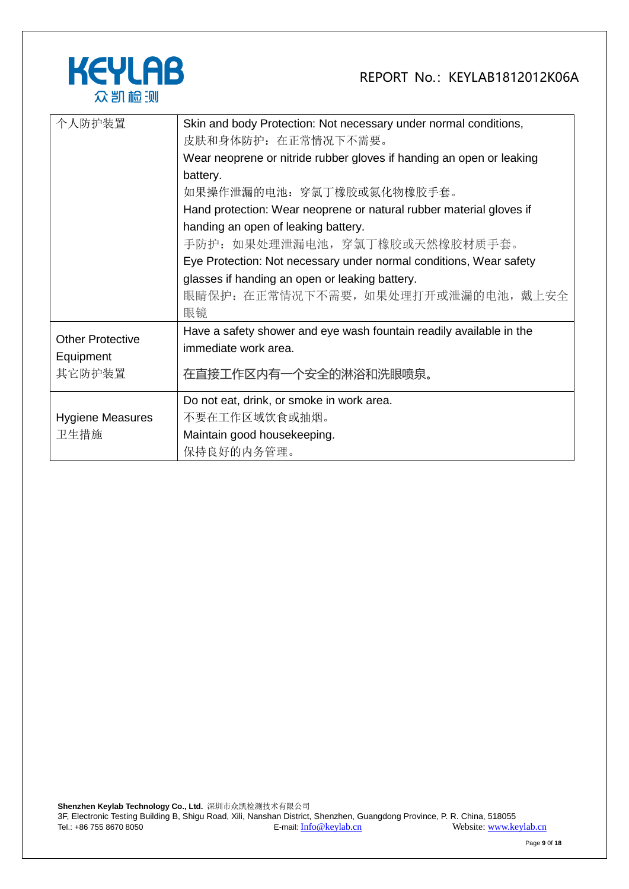

| 个人防护装置                  | Skin and body Protection: Not necessary under normal conditions,     |  |  |
|-------------------------|----------------------------------------------------------------------|--|--|
|                         | 皮肤和身体防护: 在正常情况下不需要。                                                  |  |  |
|                         | Wear neoprene or nitride rubber gloves if handing an open or leaking |  |  |
|                         | battery.                                                             |  |  |
|                         | 如果操作泄漏的电池:穿氯丁橡胶或氮化物橡胶手套。                                             |  |  |
|                         | Hand protection: Wear neoprene or natural rubber material gloves if  |  |  |
|                         | handing an open of leaking battery.                                  |  |  |
|                         | 手防护:如果处理泄漏电池,穿氯丁橡胶或天然橡胶材质手套。                                         |  |  |
|                         | Eye Protection: Not necessary under normal conditions, Wear safety   |  |  |
|                         | glasses if handing an open or leaking battery.                       |  |  |
|                         | 眼睛保护: 在正常情况下不需要, 如果处理打开或泄漏的电池, 戴上安全                                  |  |  |
|                         | 眼镜                                                                   |  |  |
|                         | Have a safety shower and eye wash fountain readily available in the  |  |  |
| <b>Other Protective</b> | immediate work area.                                                 |  |  |
| Equipment               |                                                                      |  |  |
| 其它防护装置                  | 在直接工作区内有一个安全的淋浴和洗眼喷泉。                                                |  |  |
|                         | Do not eat, drink, or smoke in work area.                            |  |  |
| <b>Hygiene Measures</b> | 不要在工作区域饮食或抽烟。                                                        |  |  |
| 卫生措施                    | Maintain good housekeeping.                                          |  |  |
|                         | 保持良好的内务管理。                                                           |  |  |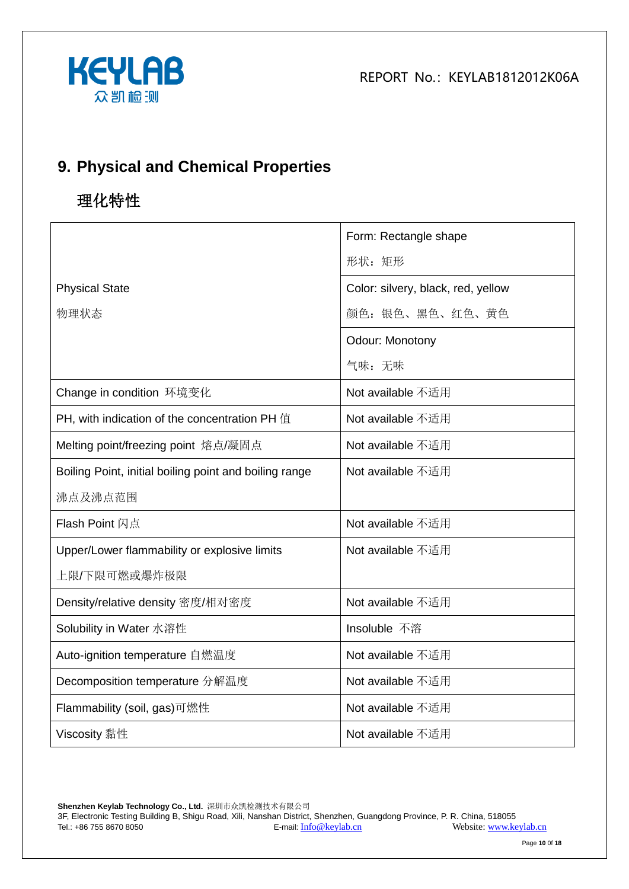



# **9. Physical and Chemical Properties**

# 理化特性

|                                                        | Form: Rectangle shape              |
|--------------------------------------------------------|------------------------------------|
|                                                        | 形状: 矩形                             |
| <b>Physical State</b>                                  | Color: silvery, black, red, yellow |
| 物理状态                                                   | 颜色: 银色、黑色、红色、黄色                    |
|                                                        | Odour: Monotony                    |
|                                                        | 气味:无味                              |
| Change in condition 环境变化                               | Not available 不适用                  |
| PH, with indication of the concentration PH 值          | Not available 不适用                  |
| Melting point/freezing point 熔点/凝固点                    | Not available 不适用                  |
| Boiling Point, initial boiling point and boiling range | Not available 不适用                  |
| 沸点及沸点范围                                                |                                    |
| <b>Flash Point 闪点</b>                                  | Not available 不适用                  |
| Upper/Lower flammability or explosive limits           | Not available 不适用                  |
| 上限/下限可燃或爆炸极限                                           |                                    |
| Density/relative density 密度/相对密度                       | Not available 不适用                  |
| Solubility in Water 水溶性                                | Insoluble 不溶                       |
| Auto-ignition temperature 自燃温度                         | Not available 不适用                  |
| Decomposition temperature 分解温度                         | Not available 不适用                  |
| Flammability (soil, gas)可燃性                            | Not available 不适用                  |
| Viscosity 黏性                                           | Not available 不适用                  |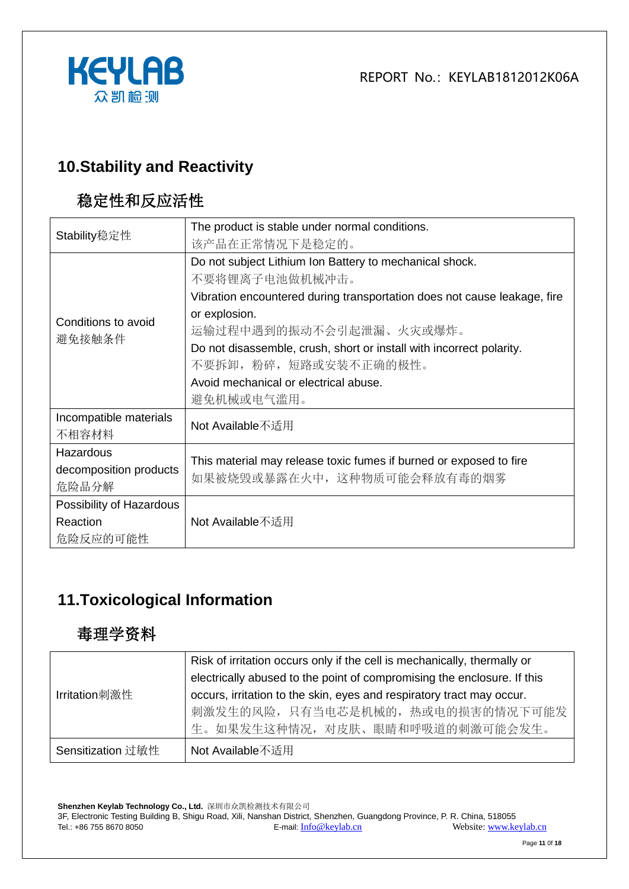

### **10.Stability and Reactivity**

# 稳定性和反应活性

| Stability稳定性             | The product is stable under normal conditions.                                                    |  |  |
|--------------------------|---------------------------------------------------------------------------------------------------|--|--|
|                          | 该产品在正常情况下是稳定的。                                                                                    |  |  |
|                          | Do not subject Lithium Ion Battery to mechanical shock.                                           |  |  |
|                          | 不要将锂离子电池做机械冲击。                                                                                    |  |  |
|                          | Vibration encountered during transportation does not cause leakage, fire                          |  |  |
| Conditions to avoid      | or explosion.                                                                                     |  |  |
|                          | 运输过程中遇到的振动不会引起泄漏、火灾或爆炸。                                                                           |  |  |
| 避免接触条件                   | Do not disassemble, crush, short or install with incorrect polarity.                              |  |  |
|                          | 不要拆卸, 粉碎, 短路或安装不正确的极性。                                                                            |  |  |
|                          | Avoid mechanical or electrical abuse.                                                             |  |  |
|                          | 避免机械或电气滥用。                                                                                        |  |  |
| Incompatible materials   | Not Available不适用                                                                                  |  |  |
| 不相容材料                    |                                                                                                   |  |  |
| Hazardous                |                                                                                                   |  |  |
| decomposition products   | This material may release toxic fumes if burned or exposed to fire<br>如果被烧毁或暴露在火中, 这种物质可能会释放有毒的烟雾 |  |  |
| 危险品分解                    |                                                                                                   |  |  |
| Possibility of Hazardous |                                                                                                   |  |  |
| Reaction                 | Not Available不适用                                                                                  |  |  |
| 危险反应的可能性                 |                                                                                                   |  |  |

# **11.Toxicological Information**

### 毒理学资料

|                   | Risk of irritation occurs only if the cell is mechanically, thermally or<br>electrically abused to the point of compromising the enclosure. If this |
|-------------------|-----------------------------------------------------------------------------------------------------------------------------------------------------|
| Irritation刺激性     | occurs, irritation to the skin, eyes and respiratory tract may occur.<br>刺激发生的风险, 只有当电芯是机械的, 热或电的损害的情况下可能发<br>生。如果发生这种情况, 对皮肤、眼睛和呼吸道的刺激可能会发生。       |
| Sensitization 过敏性 | Not Available不适用                                                                                                                                    |

**Shenzhen Keylab Technology Co., Ltd.** 深圳市众凯检测技术有限公司 3F, Electronic Testing Building B, Shigu Road, Xili, Nanshan District, Shenzhen, Guangdong Province, P. R. China, 518055 Tel.: +86 755 8670 8050 E-mail: [Info@keylab.cn](mailto:Info@keylab.cn) Website[: www.keylab.cn](http://www.keylab.cn/)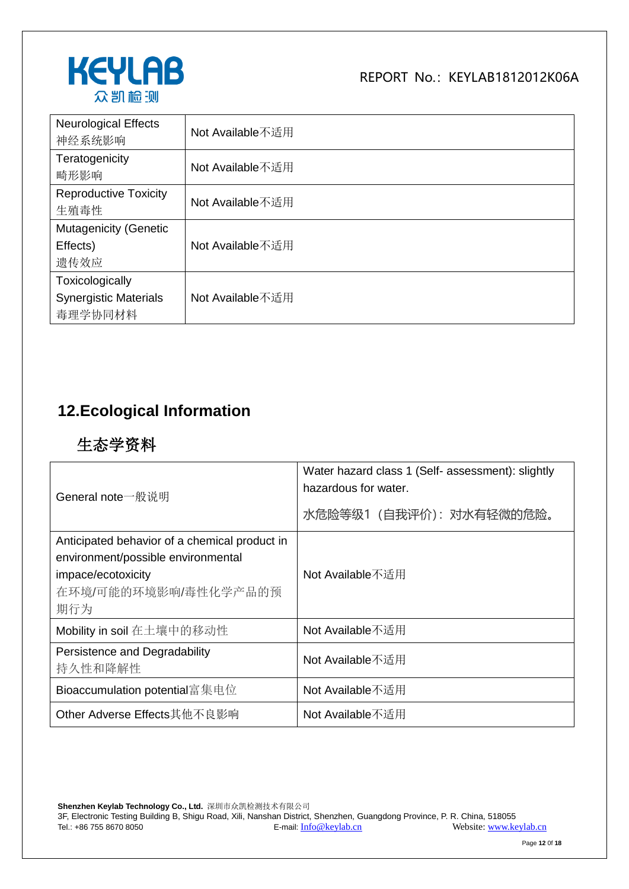

| <b>Neurological Effects</b><br>神经系统影响                      | Not Available不适用 |
|------------------------------------------------------------|------------------|
| Teratogenicity<br>畸形影响                                     | Not Available不适用 |
| <b>Reproductive Toxicity</b><br>生殖毒性                       | Not Available不适用 |
| <b>Mutagenicity (Genetic</b><br>Effects)<br>遗传效应           | Not Available不适用 |
| Toxicologically<br><b>Synergistic Materials</b><br>毒理学协同材料 | Not Available不适用 |

# **12.Ecological Information**

# 生态学资料

| General note一般说明                                                                                                                         | Water hazard class 1 (Self- assessment): slightly<br>hazardous for water.<br>水危险等级1 (自我评价): 对水有轻微的危险。 |  |
|------------------------------------------------------------------------------------------------------------------------------------------|-------------------------------------------------------------------------------------------------------|--|
| Anticipated behavior of a chemical product in<br>environment/possible environmental<br>impace/ecotoxicity<br>在环境/可能的环境影响/毒性化学产品的预<br>期行为 | Not Available不适用                                                                                      |  |
| Mobility in soil 在土壤中的移动性                                                                                                                | Not Available不适用                                                                                      |  |
| Persistence and Degradability<br>持久性和降解性                                                                                                 | Not Available不适用                                                                                      |  |
| Bioaccumulation potential富集电位                                                                                                            | Not Available不适用                                                                                      |  |
| Other Adverse Effects其他不良影响                                                                                                              | Not Available不适用                                                                                      |  |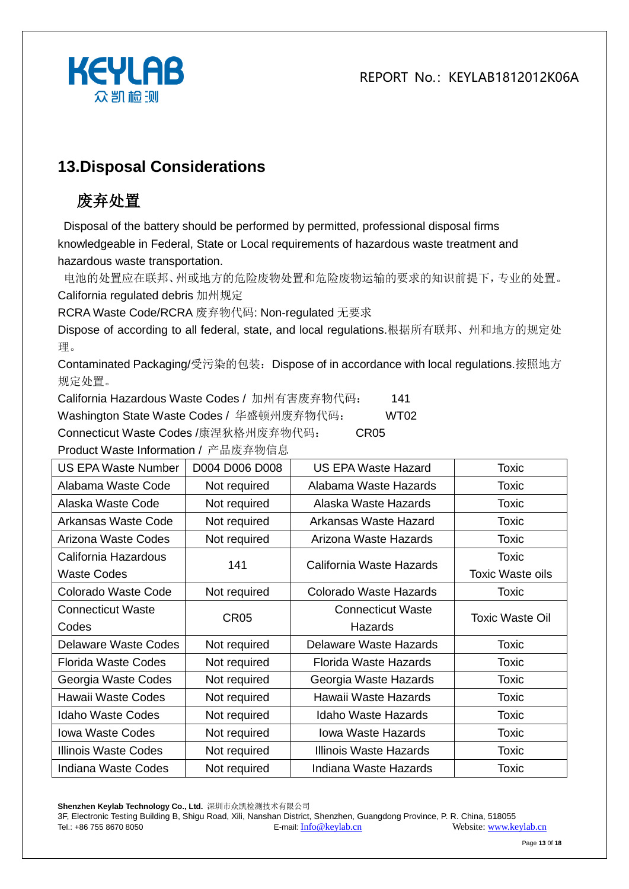

### **13.Disposal Considerations**

# 废弃处置

Disposal of the battery should be performed by permitted, professional disposal firms knowledgeable in Federal, State or Local requirements of hazardous waste treatment and hazardous waste transportation.

电池的处置应在联邦、州或地方的危险废物处置和危险废物运输的要求的知识前提下,专业的处置。 California regulated debris 加州规定

RCRA Waste Code/RCRA 废弃物代码: Non-regulated 无要求

Dispose of according to all federal, state, and local regulations.根据所有联邦、州和地方的规定处 理。

Contaminated Packaging/受污染的包装:Dispose of in accordance with local regulations.按照地方 规定处置。

California Hazardous Waste Codes / 加州有害废弃物代码: 141

Washington State Waste Codes / 华盛顿州废弃物代码: WT02

Connecticut Waste Codes /康涅狄格州废弃物代码: CR05

Product Waste Information / 产品废弃物信息

| US EPA Waste Number        | D004 D006 D008 | <b>US EPA Waste Hazard</b> | Toxic                   |
|----------------------------|----------------|----------------------------|-------------------------|
| Alabama Waste Code         | Not required   | Alabama Waste Hazards      | Toxic                   |
| Alaska Waste Code          | Not required   | Alaska Waste Hazards       | <b>Toxic</b>            |
| Arkansas Waste Code        | Not required   | Arkansas Waste Hazard      | <b>Toxic</b>            |
| Arizona Waste Codes        | Not required   | Arizona Waste Hazards      | Toxic                   |
| California Hazardous       | 141            | California Waste Hazards   | Toxic                   |
| <b>Waste Codes</b>         |                |                            | <b>Toxic Waste oils</b> |
| Colorado Waste Code        | Not required   | Colorado Waste Hazards     | Toxic                   |
| <b>Connecticut Waste</b>   | <b>CR05</b>    | <b>Connecticut Waste</b>   | <b>Toxic Waste Oil</b>  |
| Codes                      |                | Hazards                    |                         |
| Delaware Waste Codes       | Not required   | Delaware Waste Hazards     | <b>Toxic</b>            |
| <b>Florida Waste Codes</b> | Not required   | Florida Waste Hazards      | Toxic                   |
| Georgia Waste Codes        | Not required   | Georgia Waste Hazards      | <b>Toxic</b>            |
| Hawaii Waste Codes         | Not required   | Hawaii Waste Hazards       | <b>Toxic</b>            |
| <b>Idaho Waste Codes</b>   | Not required   | <b>Idaho Waste Hazards</b> | <b>Toxic</b>            |
| <b>Iowa Waste Codes</b>    | Not required   | <b>Iowa Waste Hazards</b>  | <b>Toxic</b>            |
| Illinois Waste Codes       | Not required   | Illinois Waste Hazards     | <b>Toxic</b>            |
| Indiana Waste Codes        | Not required   | Indiana Waste Hazards      | <b>Toxic</b>            |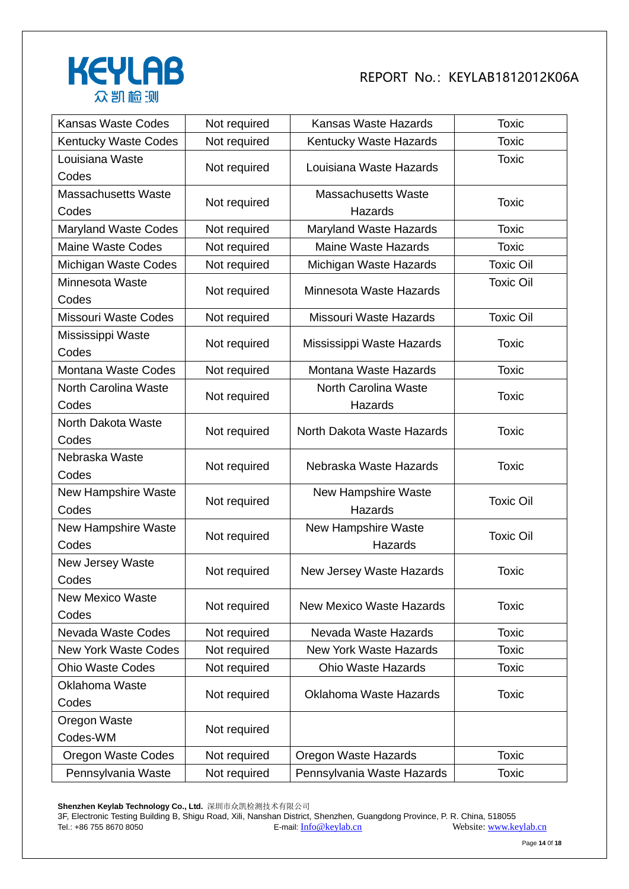

| <b>Kansas Waste Codes</b>           | Not required | Kansas Waste Hazards                  | <b>Toxic</b>     |
|-------------------------------------|--------------|---------------------------------------|------------------|
| <b>Kentucky Waste Codes</b>         | Not required | Kentucky Waste Hazards                | <b>Toxic</b>     |
| Louisiana Waste<br>Codes            | Not required | Louisiana Waste Hazards               | <b>Toxic</b>     |
| <b>Massachusetts Waste</b><br>Codes | Not required | <b>Massachusetts Waste</b><br>Hazards | <b>Toxic</b>     |
| <b>Maryland Waste Codes</b>         | Not required | Maryland Waste Hazards                | <b>Toxic</b>     |
| <b>Maine Waste Codes</b>            | Not required | <b>Maine Waste Hazards</b>            | <b>Toxic</b>     |
| Michigan Waste Codes                | Not required | Michigan Waste Hazards                | <b>Toxic Oil</b> |
| Minnesota Waste<br>Codes            | Not required | Minnesota Waste Hazards               | <b>Toxic Oil</b> |
| <b>Missouri Waste Codes</b>         | Not required | Missouri Waste Hazards                | <b>Toxic Oil</b> |
| Mississippi Waste<br>Codes          | Not required | Mississippi Waste Hazards             | <b>Toxic</b>     |
| Montana Waste Codes                 | Not required | Montana Waste Hazards                 | <b>Toxic</b>     |
| North Carolina Waste<br>Codes       | Not required | North Carolina Waste<br>Hazards       | <b>Toxic</b>     |
| North Dakota Waste<br>Codes         | Not required | North Dakota Waste Hazards            | <b>Toxic</b>     |
| Nebraska Waste<br>Codes             | Not required | Nebraska Waste Hazards                | <b>Toxic</b>     |
| New Hampshire Waste<br>Codes        | Not required | <b>New Hampshire Waste</b><br>Hazards | <b>Toxic Oil</b> |
| New Hampshire Waste<br>Codes        | Not required | <b>New Hampshire Waste</b><br>Hazards | <b>Toxic Oil</b> |
| New Jersey Waste<br>Codes           | Not required | New Jersey Waste Hazards              | <b>Toxic</b>     |
| <b>New Mexico Waste</b><br>Codes    | Not required | <b>New Mexico Waste Hazards</b>       | <b>Toxic</b>     |
| Nevada Waste Codes                  | Not required | Nevada Waste Hazards                  | <b>Toxic</b>     |
| <b>New York Waste Codes</b>         | Not required | <b>New York Waste Hazards</b>         | <b>Toxic</b>     |
| <b>Ohio Waste Codes</b>             | Not required | <b>Ohio Waste Hazards</b>             | <b>Toxic</b>     |
| <b>Oklahoma Waste</b><br>Codes      | Not required | <b>Oklahoma Waste Hazards</b>         | <b>Toxic</b>     |
| Oregon Waste<br>Codes-WM            | Not required |                                       |                  |
| <b>Oregon Waste Codes</b>           | Not required | Oregon Waste Hazards                  | <b>Toxic</b>     |
| Pennsylvania Waste                  | Not required | Pennsylvania Waste Hazards            | <b>Toxic</b>     |

**Shenzhen Keylab Technology Co., Ltd.** 深圳市众凯检测技术有限公司 3F, Electronic Testing Building B, Shigu Road, Xili, Nanshan District, Shenzhen, Guangdong Province, P. R. China, 518055 Tel.: +86 755 8670 8050 **E-mail:** [Info@keylab.cn](mailto:Info@keylab.cn) Website[: www.keylab.cn](http://www.keylab.cn/)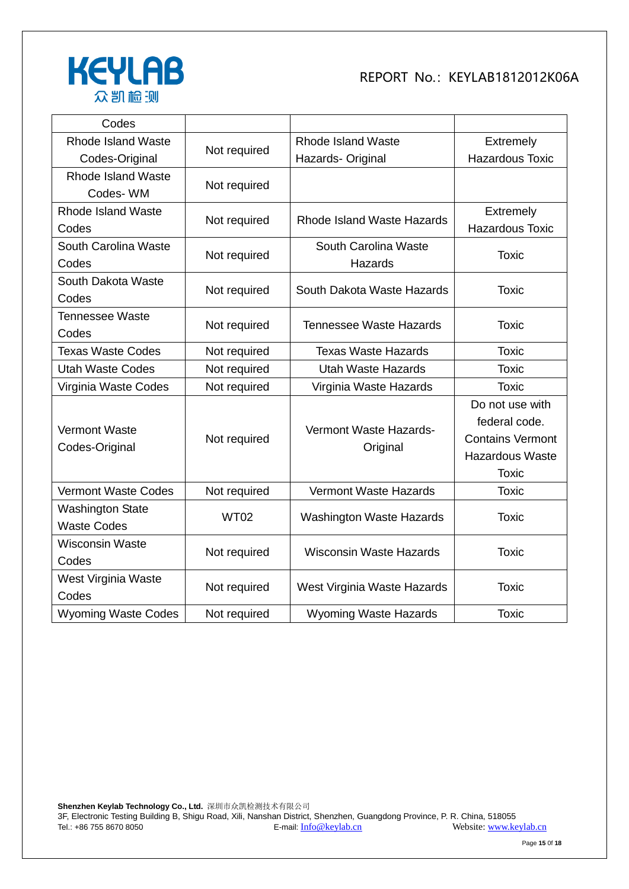

| Codes                                         |              |                                    |                                                                                                       |
|-----------------------------------------------|--------------|------------------------------------|-------------------------------------------------------------------------------------------------------|
| <b>Rhode Island Waste</b>                     |              | <b>Rhode Island Waste</b>          | Extremely                                                                                             |
| Codes-Original                                | Not required | Hazards- Original                  | <b>Hazardous Toxic</b>                                                                                |
| <b>Rhode Island Waste</b><br>Codes-WM         | Not required |                                    |                                                                                                       |
| <b>Rhode Island Waste</b><br>Codes            | Not required | Rhode Island Waste Hazards         | Extremely<br><b>Hazardous Toxic</b>                                                                   |
| South Carolina Waste<br>Codes                 | Not required | South Carolina Waste<br>Hazards    | <b>Toxic</b>                                                                                          |
| South Dakota Waste<br>Codes                   | Not required | South Dakota Waste Hazards         | <b>Toxic</b>                                                                                          |
| <b>Tennessee Waste</b><br>Codes               | Not required | <b>Tennessee Waste Hazards</b>     | <b>Toxic</b>                                                                                          |
| <b>Texas Waste Codes</b>                      | Not required | <b>Texas Waste Hazards</b>         | <b>Toxic</b>                                                                                          |
| <b>Utah Waste Codes</b>                       | Not required | <b>Utah Waste Hazards</b>          | <b>Toxic</b>                                                                                          |
| Virginia Waste Codes                          | Not required | Virginia Waste Hazards             | <b>Toxic</b>                                                                                          |
| <b>Vermont Waste</b><br>Codes-Original        | Not required | Vermont Waste Hazards-<br>Original | Do not use with<br>federal code.<br><b>Contains Vermont</b><br><b>Hazardous Waste</b><br><b>Toxic</b> |
| <b>Vermont Waste Codes</b>                    | Not required | <b>Vermont Waste Hazards</b>       | <b>Toxic</b>                                                                                          |
| <b>Washington State</b><br><b>Waste Codes</b> | <b>WT02</b>  | <b>Washington Waste Hazards</b>    | <b>Toxic</b>                                                                                          |
| <b>Wisconsin Waste</b><br>Codes               | Not required | <b>Wisconsin Waste Hazards</b>     | <b>Toxic</b>                                                                                          |
| West Virginia Waste<br>Codes                  | Not required | West Virginia Waste Hazards        | <b>Toxic</b>                                                                                          |
| <b>Wyoming Waste Codes</b>                    | Not required | <b>Wyoming Waste Hazards</b>       | <b>Toxic</b>                                                                                          |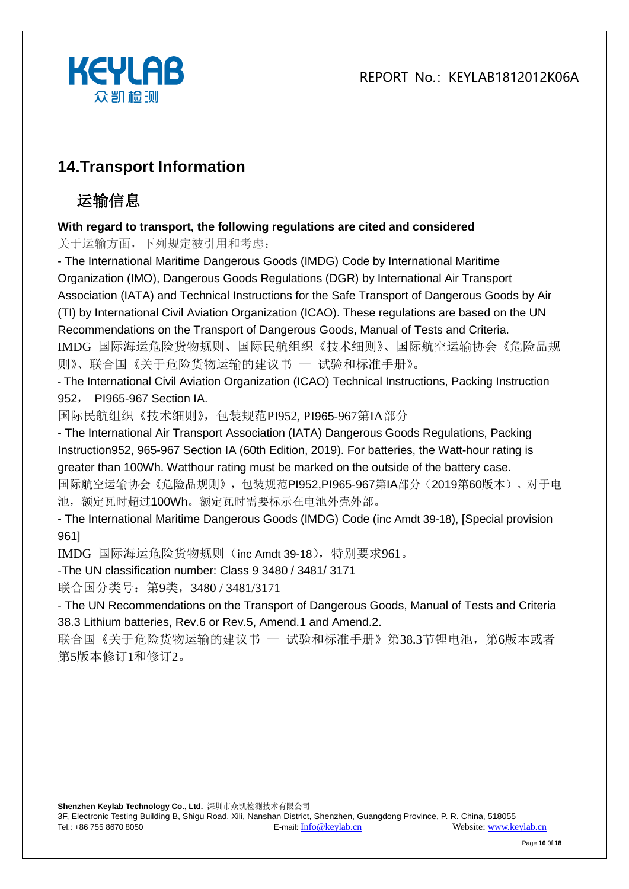



# **14.Transport Information**

# 运输信息

#### **With regard to transport, the following regulations are cited and considered**

关于运输方面,下列规定被引用和考虑:

- The International Maritime Dangerous Goods (IMDG) Code by International Maritime Organization (IMO), Dangerous Goods Regulations (DGR) by International Air Transport Association (IATA) and Technical Instructions for the Safe Transport of Dangerous Goods by Air (TI) by International Civil Aviation Organization (ICAO). These regulations are based on the UN Recommendations on the Transport of Dangerous Goods, Manual of Tests and Criteria. IMDG 国际海运危险货物规则、国际民航组织《技术细则》、国际航空运输协会《危险品规 则》、联合国《关于危险货物运输的建议书 — 试验和标准手册》。

- The International Civil Aviation Organization (ICAO) Technical Instructions, Packing Instruction 952, PI965-967 Section IA.

国际民航组织《技术细则》,包装规范PI952, PI965-967第IA部分

- The International Air Transport Association (IATA) Dangerous Goods Regulations, Packing Instruction952, 965-967 Section IA (60th Edition, 2019). For batteries, the Watt-hour rating is greater than 100Wh. Watthour rating must be marked on the outside of the battery case. 国际航空运输协会《危险品规则》,包装规范PI952,PI965-967第IA部分(2019第60版本)。对于电 池,额定瓦时超过100Wh。额定瓦时需要标示在电池外壳外部。

- The International Maritime Dangerous Goods (IMDG) Code (inc Amdt 39-18), [Special provision 961]

IMDG 国际海运危险货物规则(inc Amdt 39-18),特别要求961。

-The UN classification number: Class 9 3480 / 3481/ 3171

联合国分类号: 第9类, 3480 / 3481/3171

- The UN Recommendations on the Transport of Dangerous Goods, Manual of Tests and Criteria 38.3 Lithium batteries, Rev.6 or Rev.5, Amend.1 and Amend.2.

联合国《关于危险货物运输的建议书 — 试验和标准手册》第38.3节锂电池, 第6版本或者 第5版本修订1和修订2。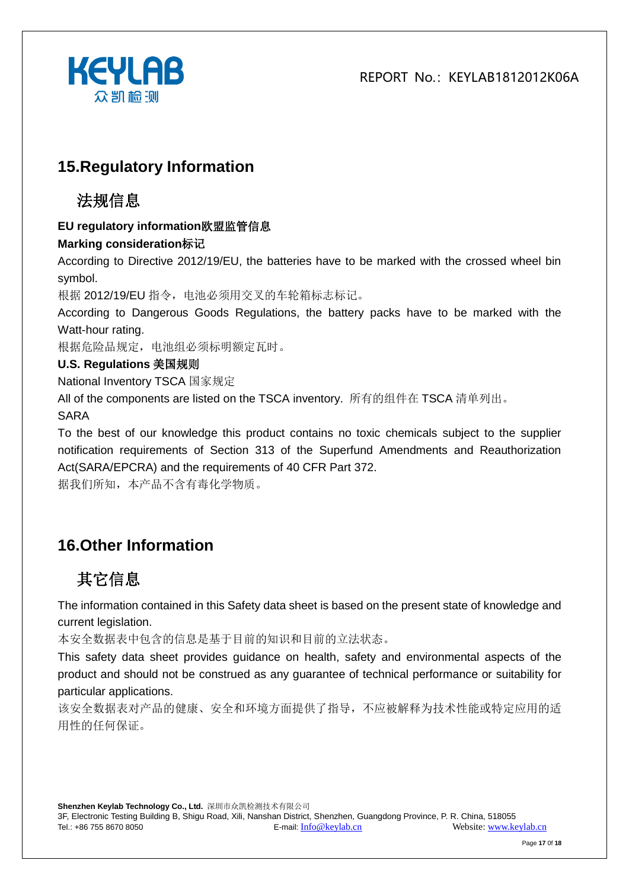

### **15.Regulatory Information**

### 法规信息

#### **EU regulatory information**欧盟监管信息

#### **Marking consideration**标记

According to Directive 2012/19/EU, the batteries have to be marked with the crossed wheel bin symbol.

根据 2012/19/EU 指令,电池必须用交叉的车轮箱标志标记。

According to Dangerous Goods Regulations, the battery packs have to be marked with the Watt-hour rating.

根据危险品规定,电池组必须标明额定瓦时。

#### **U.S. Regulations** 美国规则

National Inventory TSCA 国家规定

All of the components are listed on the TSCA inventory. 所有的组件在 TSCA 清单列出。

SARA

To the best of our knowledge this product contains no toxic chemicals subject to the supplier notification requirements of Section 313 of the Superfund Amendments and Reauthorization Act(SARA/EPCRA) and the requirements of 40 CFR Part 372.

据我们所知,本产品不含有毒化学物质。

# **16.Other Information**

# 其它信息

The information contained in this Safety data sheet is based on the present state of knowledge and current legislation.

本安全数据表中包含的信息是基于目前的知识和目前的立法状态。

This safety data sheet provides guidance on health, safety and environmental aspects of the product and should not be construed as any guarantee of technical performance or suitability for particular applications.

该安全数据表对产品的健康、安全和环境方面提供了指导,不应被解释为技术性能或特定应用的适 用性的任何保证。